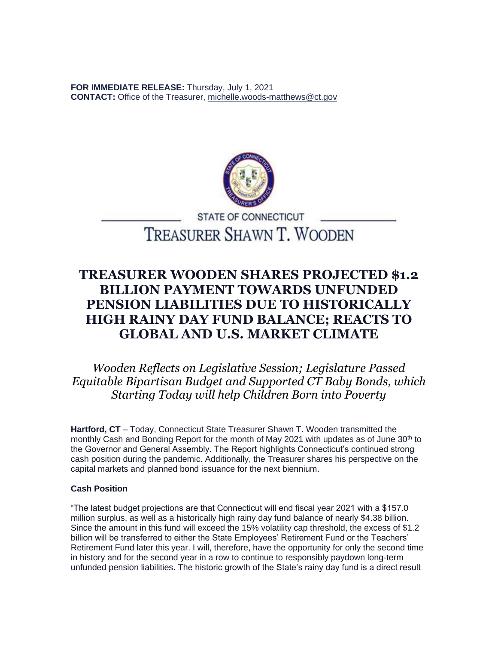**FOR IMMEDIATE RELEASE:** Thursday, July 1, 2021 **CONTACT:** Office of the Treasurer, [michelle.woods-matthews@ct.gov](https://ctmail.ct.gov/owa/redir.aspx?REF=KHb3O-Plcti30olO0MLR70W_S31q9nQsE5e1n42Z21sEqwjZwvzXCAFtYWlsdG86Z2FicmllbGxlLmZhcnJlbGxAY3QuZ292)



# **STATE OF CONNECTICUT** TREASURER SHAWN T. WOODEN

# **TREASURER WOODEN SHARES PROJECTED \$1.2 BILLION PAYMENT TOWARDS UNFUNDED PENSION LIABILITIES DUE TO HISTORICALLY HIGH RAINY DAY FUND BALANCE; REACTS TO GLOBAL AND U.S. MARKET CLIMATE**

*Wooden Reflects on Legislative Session; Legislature Passed Equitable Bipartisan Budget and Supported CT Baby Bonds, which Starting Today will help Children Born into Poverty*

**Hartford, CT** – Today, Connecticut State Treasurer Shawn T. Wooden transmitted the monthly Cash and Bonding Report for the month of May 2021 with updates as of June 30<sup>th</sup> to the Governor and General Assembly. The Report highlights Connecticut's continued strong cash position during the pandemic. Additionally, the Treasurer shares his perspective on the capital markets and planned bond issuance for the next biennium.

# **Cash Position**

"The latest budget projections are that Connecticut will end fiscal year 2021 with a \$157.0 million surplus, as well as a historically high rainy day fund balance of nearly \$4.38 billion. Since the amount in this fund will exceed the 15% volatility cap threshold, the excess of \$1.2 billion will be transferred to either the State Employees' Retirement Fund or the Teachers' Retirement Fund later this year. I will, therefore, have the opportunity for only the second time in history and for the second year in a row to continue to responsibly paydown long-term unfunded pension liabilities. The historic growth of the State's rainy day fund is a direct result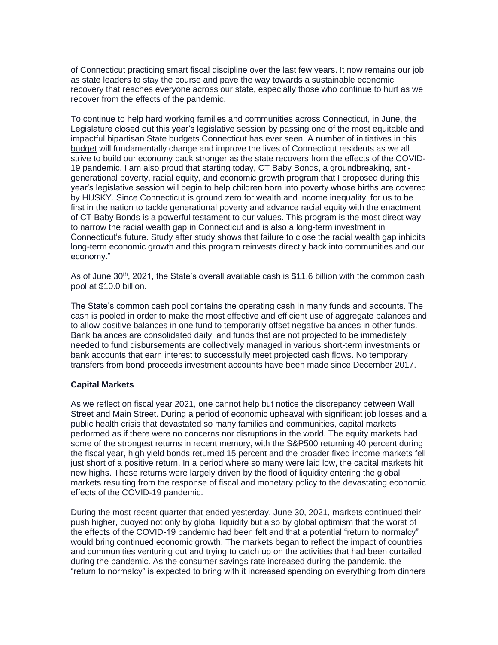of Connecticut practicing smart fiscal discipline over the last few years. It now remains our job as state leaders to stay the course and pave the way towards a sustainable economic recovery that reaches everyone across our state, especially those who continue to hurt as we recover from the effects of the pandemic.

To continue to help hard working families and communities across Connecticut, in June, the Legislature closed out this year's legislative session by passing one of the most equitable and impactful bipartisan State budgets Connecticut has ever seen. A number of initiatives in this [budget](https://portal.ct.gov/-/media/OTT/Press-Room/Press-Releases/2021/PR061021StatementWoodenHistoricCTstateBudget.pdf) will fundamentally change and improve the lives of Connecticut residents as we all strive to build our economy back stronger as the state recovers from the effects of the COVID-19 pandemic. I am also proud that starting today, [CT Baby Bonds,](https://portal.ct.gov/-/media/OTT/Press-Room/Press-Releases/2021/PR060921-CTbabyBond.pdf) a groundbreaking, antigenerational poverty, racial equity, and economic growth program that I proposed during this year's legislative session will begin to help children born into poverty whose births are covered by HUSKY. Since Connecticut is ground zero for wealth and income inequality, for us to be first in the nation to tackle generational poverty and advance racial equity with the enactment of CT Baby Bonds is a powerful testament to our values. This program is the most direct way to narrow the racial wealth gap in Connecticut and is also a long-term investment in Connecticut's future. [Study](https://gcc02.safelinks.protection.outlook.com/?url=https%3A%2F%2Fwww.mckinsey.com%2Findustries%2Fpublic-and-social-sector%2Four-insights%2Fthe-economic-impact-of-closing-the-racial-wealth-gap&data=04%7C01%7COTTPress%40ct.gov%7Cc1522f6a7525413640a008d93ca947c0%7C118b7cfaa3dd48b9b02631ff69bb738b%7C0%7C0%7C637607520248725946%7CUnknown%7CTWFpbGZsb3d8eyJWIjoiMC4wLjAwMDAiLCJQIjoiV2luMzIiLCJBTiI6Ik1haWwiLCJXVCI6Mn0%3D%7C1000&sdata=dG%2BEOS9QFBWLkE3brLetVoCDnmtdDYpuCEtG9dtjwb0%3D&reserved=0) after [study](https://gcc02.safelinks.protection.outlook.com/?url=https%3A%2F%2Fwww.cnbc.com%2F2020%2F09%2F24%2Fracial-inequality-cost-the-economy-16-trillion-over-the-last-two-decades-citi-finds.html&data=04%7C01%7COTTPress%40ct.gov%7Cc1522f6a7525413640a008d93ca947c0%7C118b7cfaa3dd48b9b02631ff69bb738b%7C0%7C0%7C637607520248735905%7CUnknown%7CTWFpbGZsb3d8eyJWIjoiMC4wLjAwMDAiLCJQIjoiV2luMzIiLCJBTiI6Ik1haWwiLCJXVCI6Mn0%3D%7C1000&sdata=qfgNQ0RgBgsOny0TUSVqmQfCj5ecja4BVdDUqsY8RLQ%3D&reserved=0) shows that failure to close the racial wealth gap inhibits long-term economic growth and this program reinvests directly back into communities and our economy."

As of June 30th, 2021, the State's overall available cash is \$11.6 billion with the common cash pool at \$10.0 billion.

The State's common cash pool contains the operating cash in many funds and accounts. The cash is pooled in order to make the most effective and efficient use of aggregate balances and to allow positive balances in one fund to temporarily offset negative balances in other funds. Bank balances are consolidated daily, and funds that are not projected to be immediately needed to fund disbursements are collectively managed in various short-term investments or bank accounts that earn interest to successfully meet projected cash flows. No temporary transfers from bond proceeds investment accounts have been made since December 2017.

# **Capital Markets**

As we reflect on fiscal year 2021, one cannot help but notice the discrepancy between Wall Street and Main Street. During a period of economic upheaval with significant job losses and a public health crisis that devastated so many families and communities, capital markets performed as if there were no concerns nor disruptions in the world. The equity markets had some of the strongest returns in recent memory, with the S&P500 returning 40 percent during the fiscal year, high yield bonds returned 15 percent and the broader fixed income markets fell just short of a positive return. In a period where so many were laid low, the capital markets hit new highs. These returns were largely driven by the flood of liquidity entering the global markets resulting from the response of fiscal and monetary policy to the devastating economic effects of the COVID-19 pandemic.

During the most recent quarter that ended yesterday, June 30, 2021, markets continued their push higher, buoyed not only by global liquidity but also by global optimism that the worst of the effects of the COVID-19 pandemic had been felt and that a potential "return to normalcy" would bring continued economic growth. The markets began to reflect the impact of countries and communities venturing out and trying to catch up on the activities that had been curtailed during the pandemic. As the consumer savings rate increased during the pandemic, the "return to normalcy" is expected to bring with it increased spending on everything from dinners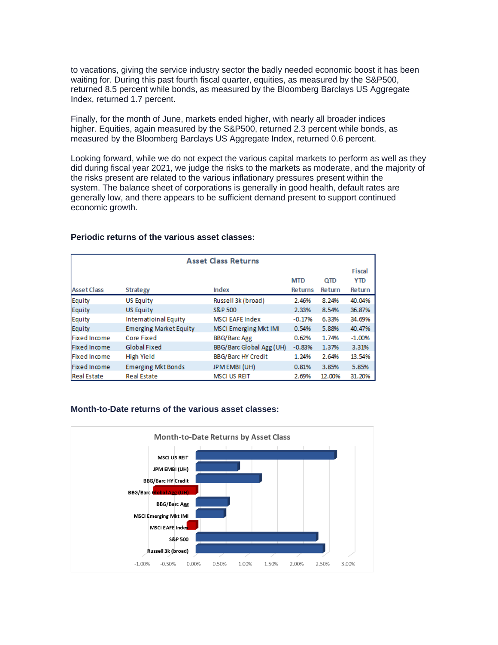to vacations, giving the service industry sector the badly needed economic boost it has been waiting for. During this past fourth fiscal quarter, equities, as measured by the S&P500, returned 8.5 percent while bonds, as measured by the Bloomberg Barclays US Aggregate Index, returned 1.7 percent.

Finally, for the month of June, markets ended higher, with nearly all broader indices higher. Equities, again measured by the S&P500, returned 2.3 percent while bonds, as measured by the Bloomberg Barclays US Aggregate Index, returned 0.6 percent.

Looking forward, while we do not expect the various capital markets to perform as well as they did during fiscal year 2021, we judge the risks to the markets as moderate, and the majority of the risks present are related to the various inflationary pressures present within the system. The balance sheet of corporations is generally in good health, default rates are generally low, and there appears to be sufficient demand present to support continued economic growth.

| <b>Asset Class Returns</b> |                               |                           |                |            |               |
|----------------------------|-------------------------------|---------------------------|----------------|------------|---------------|
|                            |                               |                           |                |            | <b>Fiscal</b> |
|                            |                               |                           | <b>MTD</b>     | <b>QTD</b> | <b>YTD</b>    |
| <b>Asset Class</b>         | <b>Strategy</b>               | Index                     | <b>Returns</b> | Return     | Return        |
| Equity                     | <b>US Equity</b>              | Russell 3k (broad)        | 2.46%          | 8.24%      | 40.04%        |
| Equity                     | <b>US Equity</b>              | S&P 500                   | 2.33%          | 8.54%      | 36.87%        |
| Equity                     | Internatioinal Equity         | <b>MSCI EAFE Index</b>    | $-0.17%$       | 6.33%      | 34.69%        |
| Equity                     | <b>Emerging Market Equity</b> | MSCI Emerging Mkt IMI     | 0.54%          | 5.88%      | 40.47%        |
| Fixed Income               | Core Fixed                    | <b>BBG/Barc Agg</b>       | 0.62%          | 1.74%      | $-1.00%$      |
| Fixed Income               | Global Fixed                  | BBG/Barc Global Agg (UH)  | $-0.83%$       | 1.37%      | 3.31%         |
| Fixed Income               | High Yield                    | <b>BBG/Barc HY Credit</b> | 1.24%          | 2.64%      | 13.54%        |
| Fixed Income               | <b>Emerging Mkt Bonds</b>     | JPM EMBI (UH)             | 0.81%          | 3.85%      | 5.85%         |
| <b>Real Estate</b>         | <b>Real Estate</b>            | <b>MSCI US REIT</b>       | 2.69%          | 12.00%     | 31.20%        |

#### **Periodic returns of the various asset classes:**

#### **Month-to-Date returns of the various asset classes:**